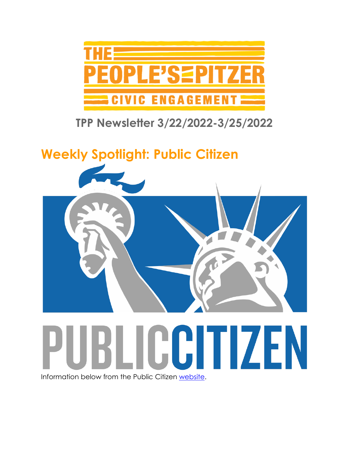

### **TPP Newsletter 3/22/2022-3/25/2022**

# **Weekly Spotlight: Public Citizen**



Information below from the Public Citizen [website.](https://www.citizen.org/)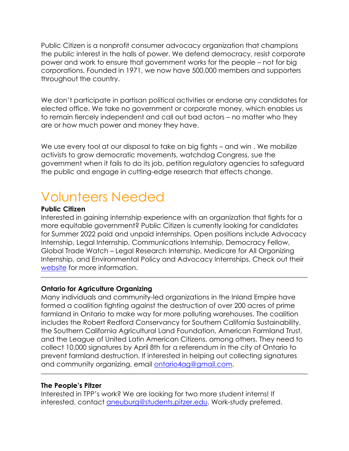Public Citizen is a nonprofit consumer advocacy organization that champions the public interest in the halls of power. We defend democracy, resist corporate power and work to ensure that government works for the people – not for big corporations. Founded in 1971, we now have 500,000 members and supporters throughout the country.

We don't participate in partisan political activities or endorse any candidates for elected office. We take no government or corporate money, which enables us to remain fiercely independent and call out bad actors – no matter who they are or how much power and money they have.

We use every tool at our disposal to take on big fights – and win. We mobilize activists to grow democratic movements, watchdog Congress, sue the government when it fails to do its job, petition regulatory agencies to safeguard the public and engage in cutting-edge research that effects change.

## Volunteers Needed

#### **Public Citizen**

Interested in gaining internship experience with an organization that fights for a more equitable government? Public Citizen is currently looking for candidates for Summer 2022 paid and unpaid internships. Open positions include Advocacy Internship, Legal Internship, Communications Internship, Democracy Fellow, Global Trade Watch – Legal Research Internship, Medicare for All Organizing Internship, and Environmental Policy and Advocacy Internships. Check out their [website](https://www.citizen.org/internships/) for more information.

#### **Ontario for Agriculture Organizing**

Many individuals and community-led organizations in the Inland Empire have formed a coalition fighting against the destruction of over 200 acres of prime farmland in Ontario to make way for more polluting warehouses. The coalition includes the Robert Redford Conservancy for Southern California Sustainability, the Southern California Agricultural Land Foundation, American Farmland Trust, and the League of United Latin American Citizens, among others. They need to collect 10,000 signatures by April 8th for a referendum in the city of Ontario to prevent farmland destruction. If interested in helping out collecting signatures and community organizing, email [ontario4ag@gmail.com.](mailto:ontario4ag@gmail.com)

#### **The People's Pitzer**

Interested in TPP's work? We are looking for two more student interns! If interested, contact [aneuburg@students.pitzer.edu.](mailto:aneuburg@students.pitzer.edu) Work-study preferred.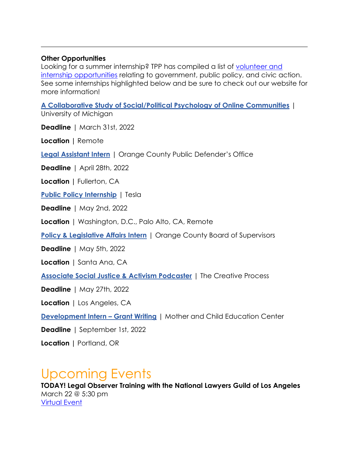#### **Other Opportunities**

Looking for a summer internship? TPP has compiled a list of [volunteer and](https://www.pitzer.edu/cec/community-pillars/peoples-pitzer/tpp-volunteer-and-internship-opportunities/)  [internship opportunities](https://www.pitzer.edu/cec/community-pillars/peoples-pitzer/tpp-volunteer-and-internship-opportunities/) relating to government, public policy, and civic action. See some internships highlighted below and be sure to check out our website for more information!

**[A Collaborative Study of Social/Political Psychology of Online Communities](https://app.joinhandshake.com/stu/jobs/5864884?ref=open-in-new-tab&search_id=173c79b3-158f-4253-afbc-7b1b2208b303)** | University of Michigan

**Deadline** | March 31st, 2022

**Location |** Remote

**[Legal Assistant Intern](https://app.joinhandshake.com/stu/jobs/5825601?ref=open-in-new-tab&search_id=17e20f22-b347-4596-ba06-df3357ea79f4)** | Orange County Public Defender's Office

**Deadline** | April 28th, 2022

**Location |** Fullerton, CA

**[Public Policy Internship](https://app.joinhandshake.com/stu/jobs/5743814?ref=open-in-new-tab&search_id=17e20f22-b347-4596-ba06-df3357ea79f4)** | Tesla

**Deadline** | May 2nd, 2022

**Location** | Washington, D.C., Palo Alto, CA, Remote

**[Policy & Legislative Affairs Intern](https://app.joinhandshake.com/stu/jobs/5423371?ref=open-in-new-tab&search_id=17e20f22-b347-4596-ba06-df3357ea79f4)** | Orange County Board of Supervisors

**Deadline** | May 5th, 2022

**Location** | Santa Ana, CA

**[Associate Social Justice & Activism Podcaster](https://app.joinhandshake.com/stu/jobs/5675834?ref=open-in-new-tab&search_id=17e20f22-b347-4596-ba06-df3357ea79f4)** | The Creative Process

**Deadline** | May 27th, 2022

**Location** | Los Angeles, CA

**[Development Intern](https://app.joinhandshake.com/stu/jobs/5527217?ref=open-in-new-tab&search_id=e18de8f7-cea7-4c4b-99e2-f7f6cbe50a7d) – Grant Writing** | Mother and Child Education Center

**Deadline** | September 1st, 2022

**Location |** Portland, OR

### Upcoming Events

**TODAY! Legal Observer Training with the National Lawyers Guild of Los Angeles** March 22 @ 5:30 pm [Virtual Event](http://tinyurl.com/NLGLegalObserverSignUp)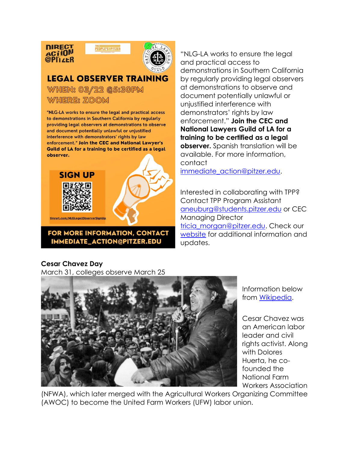

PEOPLE'S=PITZER



### **LEGAL OBSERVER TRAINING**

WHEN: 03/22 @5:30PM WHERE: ZOOM

"NLG-LA works to ensure the legal and practical access to demonstrations in Southern California by regularly providing legal observers at demonstrations to observe and document potentially unlawful or unjustified interference with demonstrators' rights by law enforcement." Join the CEC and National Lawyer's Guild of LA for a training to be certified as a legal observer.



FOR MORE INFORMATION, CONTACT IMMEDIATE\_ACTION@PITZER.EDU

"NLG-LA works to ensure the legal and practical access to demonstrations in Southern California by regularly providing legal observers at demonstrations to observe and document potentially unlawful or unjustified interference with demonstrators' rights by law enforcement." **Join the CEC and National Lawyers Guild of LA for a training to be certified as a legal observer.** Spanish translation will be available. For more information, contact

[immediate\\_action@pitzer.edu.](mailto:immediate_action@pitzer.edu)

Interested in collaborating with TPP? Contact TPP Program Assistant [aneuburg@students.pitzer.edu](mailto:aneuburg@students.pitzer.edu) or CEC Managing Director tricia morgan@pitzer.edu. Check our [website](https://www.pitzer.edu/cec/community-pillars/peoples-pitzer/) for additional information and updates.

#### **Cesar Chavez Day**

March 31, colleges observe March 25



Information below from **Wikipedia**.

Cesar Chavez was an American labor leader and civil rights activist. Along with Dolores Huerta, he cofounded the National Farm Workers Association

(NFWA), which later merged with the Agricultural Workers Organizing Committee (AWOC) to become the United Farm Workers (UFW) labor union.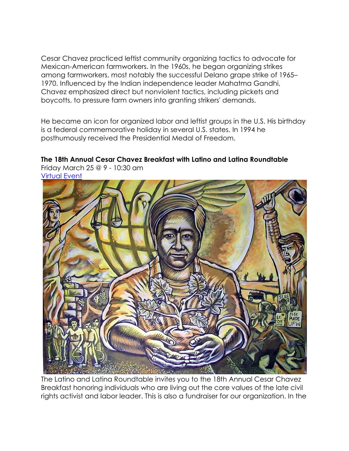Cesar Chavez practiced leftist community organizing tactics to advocate for Mexican-American farmworkers. In the 1960s, he began organizing strikes among farmworkers, most notably the successful Delano grape strike of 1965– 1970. Influenced by the Indian independence leader Mahatma Gandhi, Chavez emphasized direct but nonviolent tactics, including pickets and boycotts, to pressure farm owners into granting strikers' demands.

He became an icon for organized labor and leftist groups in the U.S. His birthday is a federal commemorative holiday in several U.S. states. In 1994 he posthumously received the Presidential Medal of Freedom.

### **The 18th Annual Cesar Chavez Breakfast with Latino and Latina Roundtable**

Friday March 25 @ 9 - 10:30 am [Virtual Event](https://www.eventbrite.com/e/18th-annual-cesar-chavez-breakfast-by-the-latino-and-latina-roundtable-tickets-254890332847)



The Latino and Latina Roundtable invites you to the 18th Annual Cesar Chavez Breakfast honoring individuals who are living out the core values of the late civil rights activist and labor leader. This is also a fundraiser for our organization. In the